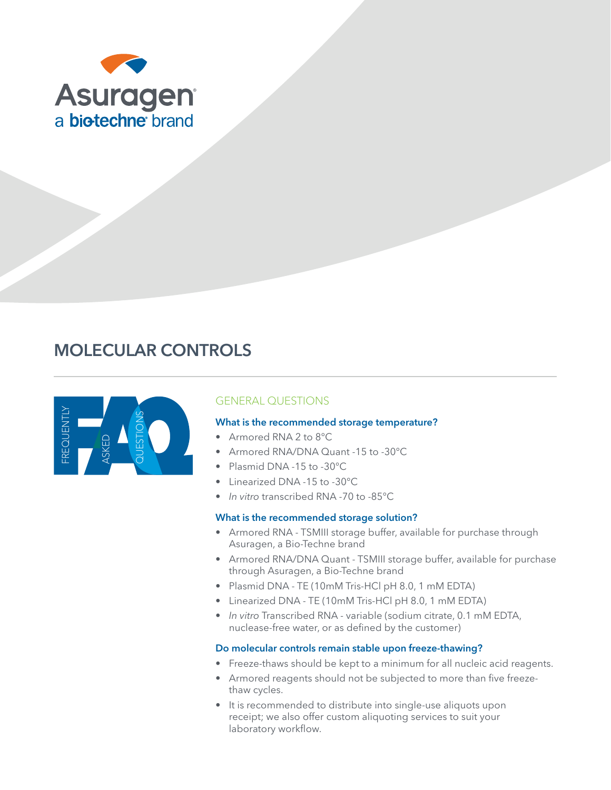

# MOLECULAR CONTROLS



## GENERAL QUESTIONS

#### What is the recommended storage temperature?

- Armored RNA 2 to 8°C
- Armored RNA/DNA Quant -15 to -30°C
- Plasmid DNA -15 to -30°C
- Linearized DNA -15 to -30°C
- *• In vitro* transcribed RNA -70 to -85°C

#### What is the recommended storage solution?

- Armored RNA TSMIII storage buffer, available for purchase through Asuragen, a Bio-Techne brand
- Armored RNA/DNA Quant TSMIII storage buffer, available for purchase through Asuragen, a Bio-Techne brand
- Plasmid DNA TE (10mM Tris-HCl pH 8.0, 1 mM EDTA)
- Linearized DNA TE (10mM Tris-HCl pH 8.0, 1 mM EDTA)
- *• In vitro* Transcribed RNA variable (sodium citrate, 0.1 mM EDTA, nuclease-free water, or as defined by the customer)

#### Do molecular controls remain stable upon freeze-thawing?

- Freeze-thaws should be kept to a minimum for all nucleic acid reagents.
- Armored reagents should not be subjected to more than five freezethaw cycles.
- It is recommended to distribute into single-use aliquots upon receipt; we also offer custom aliquoting services to suit your laboratory workflow.